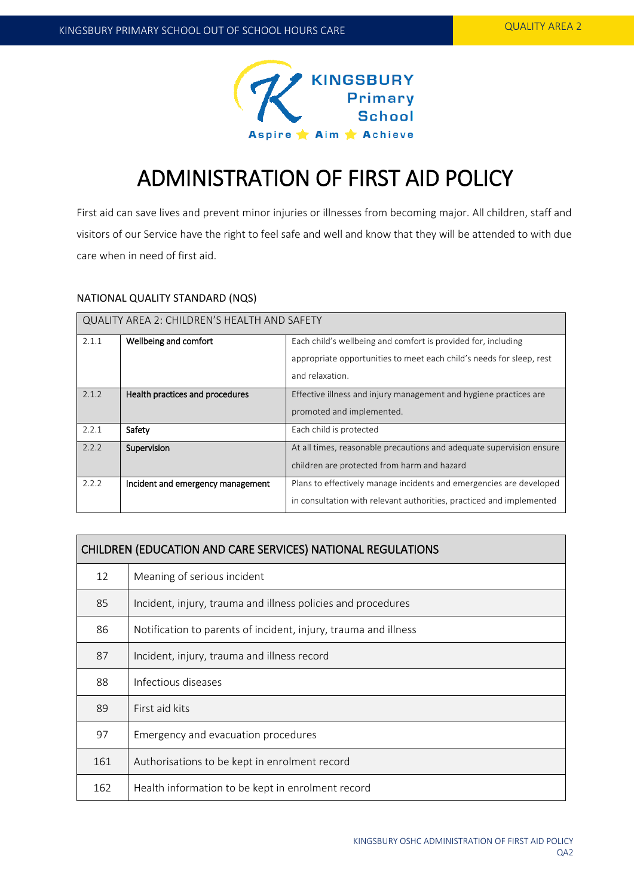

# ADMINISTRATION OF FIRST AID POLICY

First aid can save lives and prevent minor injuries or illnesses from becoming major. All children, staff and visitors of our Service have the right to feel safe and well and know that they will be attended to with due care when in need of first aid.

## NATIONAL QUALITY STANDARD (NQS)

| QUALITY AREA 2: CHILDREN'S HEALTH AND SAFETY |                                   |                                                                      |  |  |
|----------------------------------------------|-----------------------------------|----------------------------------------------------------------------|--|--|
| 2.1.1                                        | Wellbeing and comfort             | Each child's wellbeing and comfort is provided for, including        |  |  |
|                                              |                                   | appropriate opportunities to meet each child's needs for sleep, rest |  |  |
|                                              |                                   | and relaxation.                                                      |  |  |
| 2.1.2                                        | Health practices and procedures   | Effective illness and injury management and hygiene practices are    |  |  |
|                                              |                                   | promoted and implemented.                                            |  |  |
| 2.2.1                                        | Safety                            | Each child is protected                                              |  |  |
| 2.2.2                                        | Supervision                       | At all times, reasonable precautions and adequate supervision ensure |  |  |
|                                              |                                   | children are protected from harm and hazard                          |  |  |
| 2.2.2                                        | Incident and emergency management | Plans to effectively manage incidents and emergencies are developed  |  |  |
|                                              |                                   | in consultation with relevant authorities, practiced and implemented |  |  |

| CHILDREN (EDUCATION AND CARE SERVICES) NATIONAL REGULATIONS |                                                                 |  |  |
|-------------------------------------------------------------|-----------------------------------------------------------------|--|--|
| 12                                                          | Meaning of serious incident                                     |  |  |
| 85                                                          | Incident, injury, trauma and illness policies and procedures    |  |  |
| 86                                                          | Notification to parents of incident, injury, trauma and illness |  |  |
| 87                                                          | Incident, injury, trauma and illness record                     |  |  |
| 88                                                          | Infectious diseases                                             |  |  |
| 89                                                          | First aid kits                                                  |  |  |
| 97                                                          | Emergency and evacuation procedures                             |  |  |
| 161                                                         | Authorisations to be kept in enrolment record                   |  |  |
| 162                                                         | Health information to be kept in enrolment record               |  |  |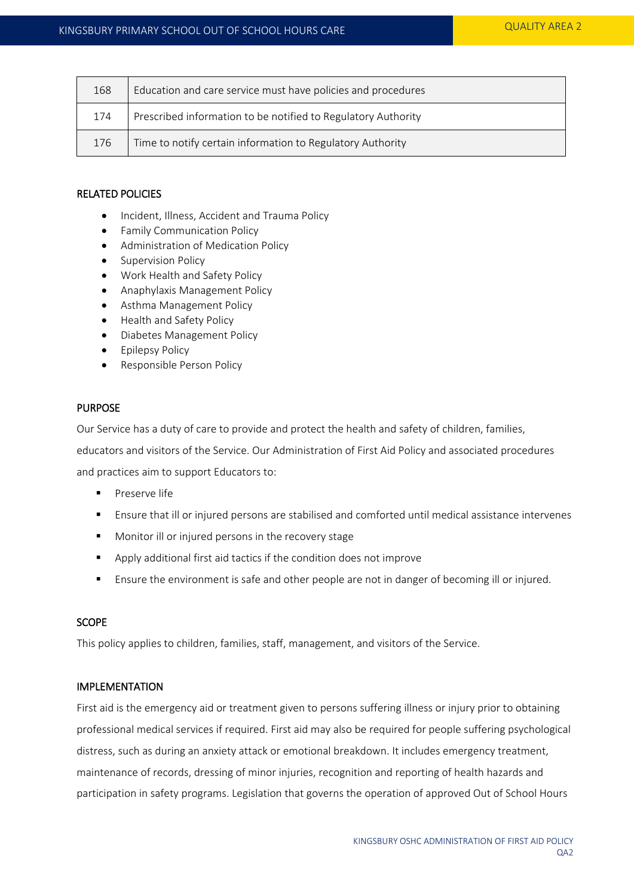| 168 | Education and care service must have policies and procedures  |  |
|-----|---------------------------------------------------------------|--|
| 174 | Prescribed information to be notified to Regulatory Authority |  |
| 176 | Time to notify certain information to Regulatory Authority    |  |

## RELATED POLICIES

- Incident, Illness, Accident and Trauma Policy
- **•** Family Communication Policy
- Administration of Medication Policy
- Supervision Policy
- Work Health and Safety Policy
- Anaphylaxis Management Policy
- Asthma Management Policy
- Health and Safety Policy
- Diabetes Management Policy
- Epilepsy Policy
- Responsible Person Policy

#### PURPOSE

Our Service has a duty of care to provide and protect the health and safety of children, families,

educators and visitors of the Service. Our Administration of First Aid Policy and associated procedures and practices aim to support Educators to:

- Preserve life
- Ensure that ill or injured persons are stabilised and comforted until medical assistance intervenes
- **Monitor ill or injured persons in the recovery stage**
- Apply additional first aid tactics if the condition does not improve
- Ensure the environment is safe and other people are not in danger of becoming ill or injured.

## **SCOPE**

This policy applies to children, families, staff, management, and visitors of the Service.

## IMPLEMENTATION

First aid is the emergency aid or treatment given to persons suffering illness or injury prior to obtaining professional medical services if required. First aid may also be required for people suffering psychological distress, such as during an anxiety attack or emotional breakdown. It includes emergency treatment, maintenance of records, dressing of minor injuries, recognition and reporting of health hazards and participation in safety programs. Legislation that governs the operation of approved Out of School Hours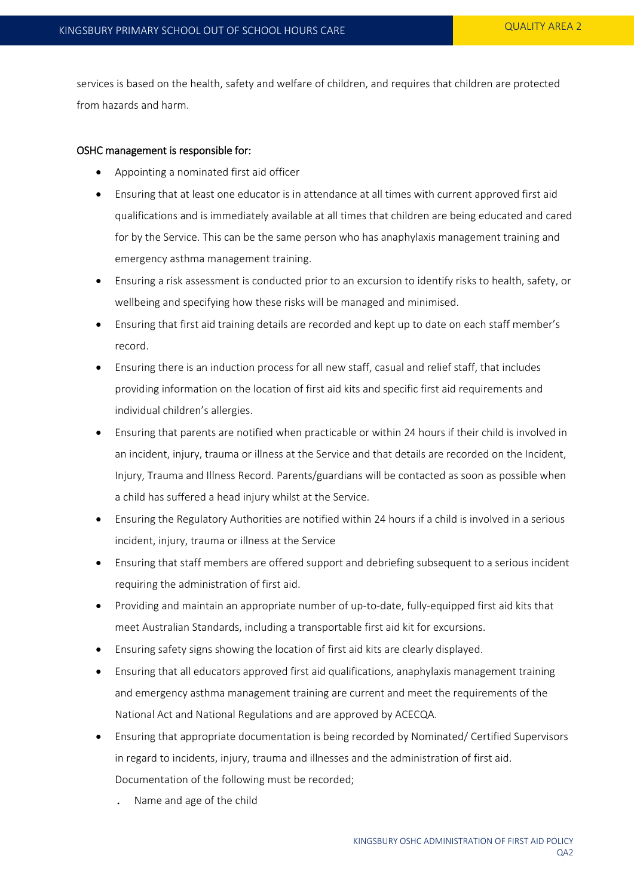services is based on the health, safety and welfare of children, and requires that children are protected from hazards and harm.

## OSHC management is responsible for:

- Appointing a nominated first aid officer
- Ensuring that at least one educator is in attendance at all times with current approved first aid qualifications and is immediately available at all times that children are being educated and cared for by the Service. This can be the same person who has anaphylaxis management training and emergency asthma management training.
- Ensuring a risk assessment is conducted prior to an excursion to identify risks to health, safety, or wellbeing and specifying how these risks will be managed and minimised.
- Ensuring that first aid training details are recorded and kept up to date on each staff member's record.
- Ensuring there is an induction process for all new staff, casual and relief staff, that includes providing information on the location of first aid kits and specific first aid requirements and individual children's allergies.
- Ensuring that parents are notified when practicable or within 24 hours if their child is involved in an incident, injury, trauma or illness at the Service and that details are recorded on the Incident, Injury, Trauma and Illness Record. Parents/guardians will be contacted as soon as possible when a child has suffered a head injury whilst at the Service.
- Ensuring the Regulatory Authorities are notified within 24 hours if a child is involved in a serious incident, injury, trauma or illness at the Service
- Ensuring that staff members are offered support and debriefing subsequent to a serious incident requiring the administration of first aid.
- Providing and maintain an appropriate number of up-to-date, fully-equipped first aid kits that meet Australian Standards, including a transportable first aid kit for excursions.
- Ensuring safety signs showing the location of first aid kits are clearly displayed.
- Ensuring that all educators approved first aid qualifications, anaphylaxis management training and emergency asthma management training are current and meet the requirements of the National Act and National Regulations and are approved by ACECQA.
- Ensuring that appropriate documentation is being recorded by Nominated/ Certified Supervisors in regard to incidents, injury, trauma and illnesses and the administration of first aid. Documentation of the following must be recorded;
	- . Name and age of the child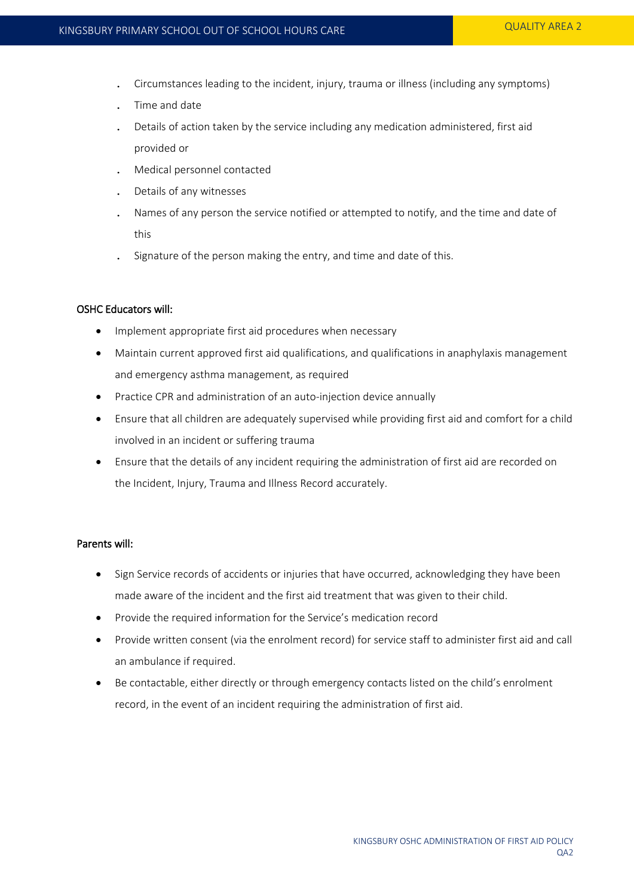- . Circumstances leading to the incident, injury, trauma or illness (including any symptoms)
- . Time and date
- . Details of action taken by the service including any medication administered, first aid provided or
- . Medical personnel contacted
- . Details of any witnesses
- . Names of any person the service notified or attempted to notify, and the time and date of this
- . Signature of the person making the entry, and time and date of this.

## OSHC Educators will:

- Implement appropriate first aid procedures when necessary
- Maintain current approved first aid qualifications, and qualifications in anaphylaxis management and emergency asthma management, as required
- Practice CPR and administration of an auto-injection device annually
- Ensure that all children are adequately supervised while providing first aid and comfort for a child involved in an incident or suffering trauma
- Ensure that the details of any incident requiring the administration of first aid are recorded on the Incident, Injury, Trauma and Illness Record accurately.

## Parents will:

- Sign Service records of accidents or injuries that have occurred, acknowledging they have been made aware of the incident and the first aid treatment that was given to their child.
- Provide the required information for the Service's medication record
- Provide written consent (via the enrolment record) for service staff to administer first aid and call an ambulance if required.
- Be contactable, either directly or through emergency contacts listed on the child's enrolment record, in the event of an incident requiring the administration of first aid.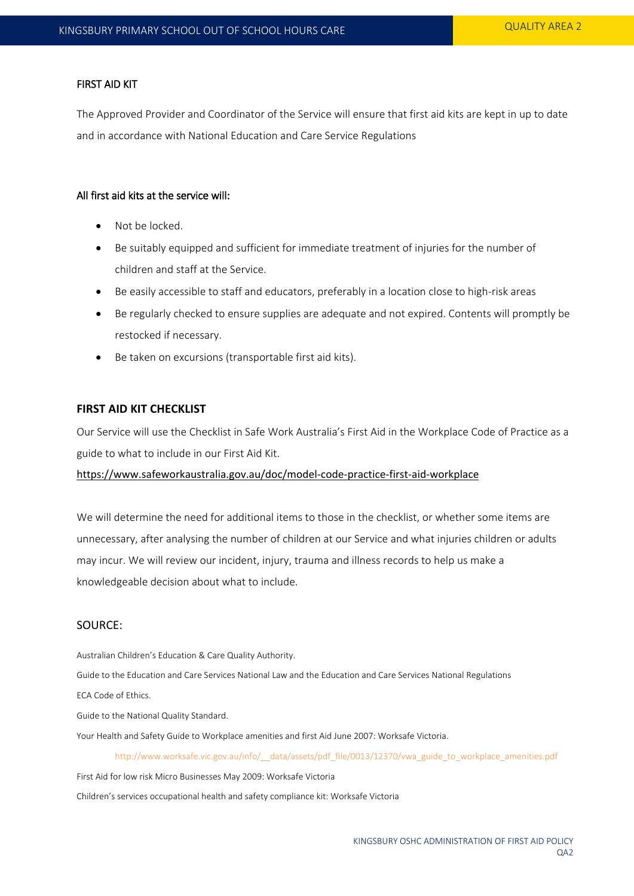#### FIRST AID KIT

The Approved Provider and Coordinator of the Service will ensure that first aid kits are kept in up to date and in accordance with National Education and Care Service Regulations

## All first aid kits at the service will:

- Not be locked.
- Be suitably equipped and sufficient for immediate treatment of injuries for the number of children and staff at the Service.
- Be easily accessible to staff and educators, preferably in a location close to high-risk areas
- Be regularly checked to ensure supplies are adequate and not expired. Contents will promptly be restocked if necessary.
- Be taken on excursions (transportable first aid kits).

#### **FIRST AID KIT CHECKLIST**

Our Service will use the Checklist in Safe Work Australia's First Aid in the Workplace Code of Practice as a guide to what to include in our First Aid Kit.

<https://www.safeworkaustralia.gov.au/doc/model-code-practice-first-aid-workplace>

We will determine the need for additional items to those in the checklist, or whether some items are unnecessary, after analysing the number of children at our Service and what injuries children or adults may incur. We will review our incident, injury, trauma and illness records to help us make a knowledgeable decision about what to include.

# SOURCE:

Australian Children's Education & Care Quality Authority.

Guide to the Education and Care Services National Law and the Education and Care Services National Regulations

ECA Code of Ethics.

Guide to the National Quality Standard.

Your Health and Safety Guide to Workplace amenities and first Aid June 2007: Worksafe Victoria.

http://www.worksafe.vic.gov.au/info/ data/assets/pdf file/0013/12370/vwa\_guide\_to\_workplace\_amenities.pdf

First Aid for low risk Micro Businesses May 2009: Worksafe Victoria

Children's services occupational health and safety compliance kit: Worksafe Victoria